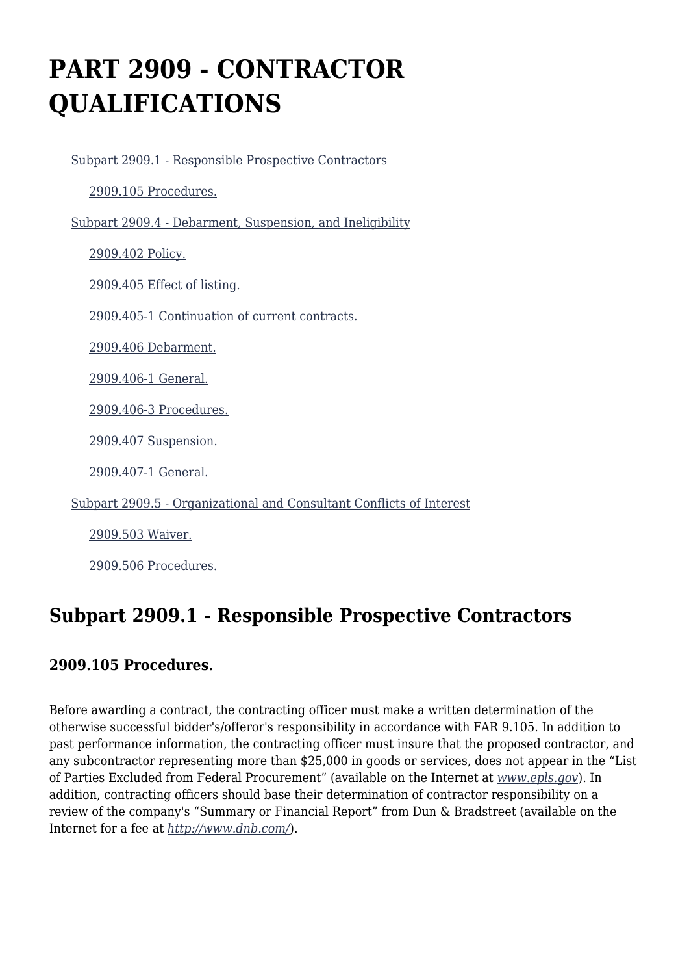# **PART 2909 - CONTRACTOR QUALIFICATIONS**

 [Subpart 2909.1 - Responsible Prospective Contractors](https://www.acquisition.gov/%5Brp:link:dolar-part-2909%5D#Subpart_2909_1_T48_7012101) [2909.105 Procedures.](https://www.acquisition.gov/%5Brp:link:dolar-part-2909%5D#Section_2909_105_T48_701210111) [Subpart 2909.4 - Debarment, Suspension, and Ineligibility](https://www.acquisition.gov/%5Brp:link:dolar-part-2909%5D#Subpart_2909_4_T48_7012102) [2909.402 Policy.](https://www.acquisition.gov/%5Brp:link:dolar-part-2909%5D#Section_2909_402_T48_701210211) [2909.405 Effect of listing.](https://www.acquisition.gov/%5Brp:link:dolar-part-2909%5D#Section_2909_405_T48_701210212) [2909.405-1 Continuation of current contracts.](https://www.acquisition.gov/%5Brp:link:dolar-part-2909%5D#Section_2909_405_1_T48_701210213) [2909.406 Debarment.](https://www.acquisition.gov/%5Brp:link:dolar-part-2909%5D#Section_2909_406_T48_701210214) [2909.406-1 General.](https://www.acquisition.gov/%5Brp:link:dolar-part-2909%5D#Section_2909_406_1_T48_701210215) [2909.406-3 Procedures.](https://www.acquisition.gov/%5Brp:link:dolar-part-2909%5D#Section_2909_406_3_T48_701210216) [2909.407 Suspension.](https://www.acquisition.gov/%5Brp:link:dolar-part-2909%5D#Section_2909_407_T48_701210217) [2909.407-1 General.](https://www.acquisition.gov/%5Brp:link:dolar-part-2909%5D#Section_2909_407_1_T48_701210218) [Subpart 2909.5 - Organizational and Consultant Conflicts of Interest](https://www.acquisition.gov/%5Brp:link:dolar-part-2909%5D#Subpart_2909_5_T48_7012103) [2909.503 Waiver.](https://www.acquisition.gov/%5Brp:link:dolar-part-2909%5D#Section_2909_503_T48_701210311) [2909.506 Procedures.](https://www.acquisition.gov/%5Brp:link:dolar-part-2909%5D#Section_2909_506_T48_701210312)

# **Subpart 2909.1 - Responsible Prospective Contractors**

## **2909.105 Procedures.**

Before awarding a contract, the contracting officer must make a written determination of the otherwise successful bidder's/offeror's responsibility in accordance with FAR 9.105. In addition to past performance information, the contracting officer must insure that the proposed contractor, and any subcontractor representing more than \$25,000 in goods or services, does not appear in the "List of Parties Excluded from Federal Procurement" (available on the Internet at *[www.epls.gov](http://www.epls.gov)*). In addition, contracting officers should base their determination of contractor responsibility on a review of the company's "Summary or Financial Report" from Dun & Bradstreet (available on the Internet for a fee at *<http://www.dnb.com/>*).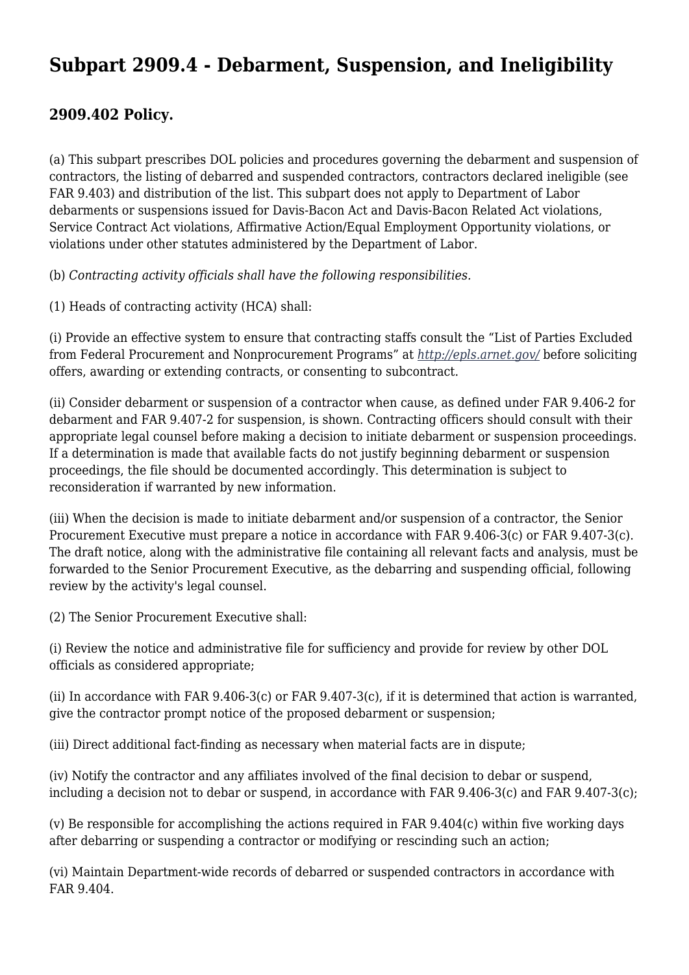## **Subpart 2909.4 - Debarment, Suspension, and Ineligibility**

#### **2909.402 Policy.**

(a) This subpart prescribes DOL policies and procedures governing the debarment and suspension of contractors, the listing of debarred and suspended contractors, contractors declared ineligible (see FAR 9.403) and distribution of the list. This subpart does not apply to Department of Labor debarments or suspensions issued for Davis-Bacon Act and Davis-Bacon Related Act violations, Service Contract Act violations, Affirmative Action/Equal Employment Opportunity violations, or violations under other statutes administered by the Department of Labor.

(b) *Contracting activity officials shall have the following responsibilities.*

(1) Heads of contracting activity (HCA) shall:

(i) Provide an effective system to ensure that contracting staffs consult the "List of Parties Excluded from Federal Procurement and Nonprocurement Programs" at *<http://epls.arnet.gov/>* before soliciting offers, awarding or extending contracts, or consenting to subcontract.

(ii) Consider debarment or suspension of a contractor when cause, as defined under FAR 9.406-2 for debarment and FAR 9.407-2 for suspension, is shown. Contracting officers should consult with their appropriate legal counsel before making a decision to initiate debarment or suspension proceedings. If a determination is made that available facts do not justify beginning debarment or suspension proceedings, the file should be documented accordingly. This determination is subject to reconsideration if warranted by new information.

(iii) When the decision is made to initiate debarment and/or suspension of a contractor, the Senior Procurement Executive must prepare a notice in accordance with FAR 9.406-3(c) or FAR 9.407-3(c). The draft notice, along with the administrative file containing all relevant facts and analysis, must be forwarded to the Senior Procurement Executive, as the debarring and suspending official, following review by the activity's legal counsel.

(2) The Senior Procurement Executive shall:

(i) Review the notice and administrative file for sufficiency and provide for review by other DOL officials as considered appropriate;

(ii) In accordance with FAR 9.406-3(c) or FAR 9.407-3(c), if it is determined that action is warranted, give the contractor prompt notice of the proposed debarment or suspension;

(iii) Direct additional fact-finding as necessary when material facts are in dispute;

(iv) Notify the contractor and any affiliates involved of the final decision to debar or suspend, including a decision not to debar or suspend, in accordance with FAR 9.406-3(c) and FAR 9.407-3(c);

(v) Be responsible for accomplishing the actions required in FAR 9.404(c) within five working days after debarring or suspending a contractor or modifying or rescinding such an action;

(vi) Maintain Department-wide records of debarred or suspended contractors in accordance with FAR 9.404.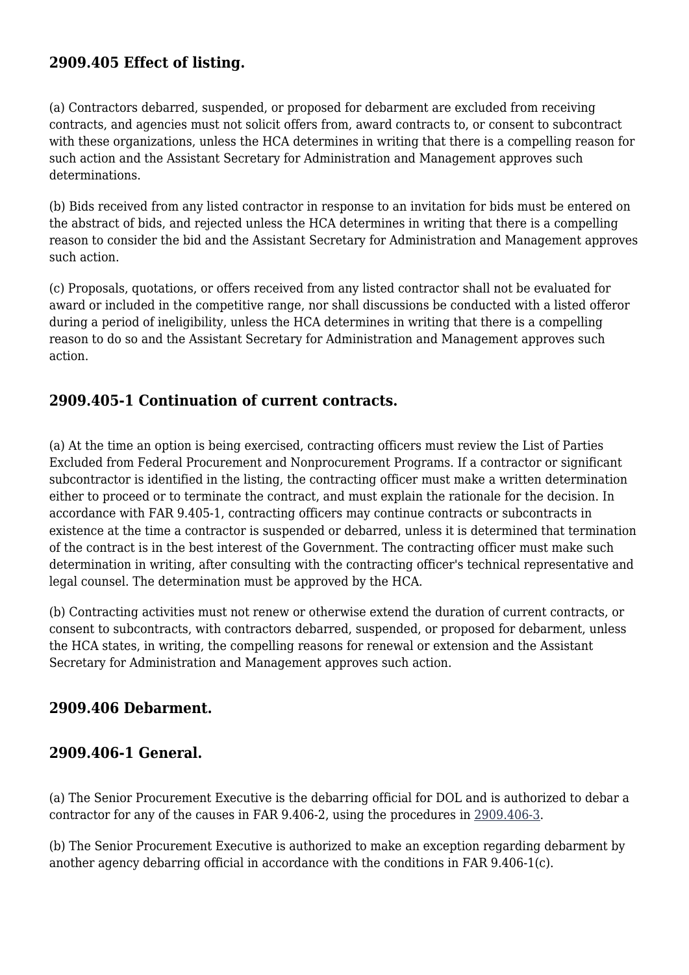## **2909.405 Effect of listing.**

(a) Contractors debarred, suspended, or proposed for debarment are excluded from receiving contracts, and agencies must not solicit offers from, award contracts to, or consent to subcontract with these organizations, unless the HCA determines in writing that there is a compelling reason for such action and the Assistant Secretary for Administration and Management approves such determinations.

(b) Bids received from any listed contractor in response to an invitation for bids must be entered on the abstract of bids, and rejected unless the HCA determines in writing that there is a compelling reason to consider the bid and the Assistant Secretary for Administration and Management approves such action.

(c) Proposals, quotations, or offers received from any listed contractor shall not be evaluated for award or included in the competitive range, nor shall discussions be conducted with a listed offeror during a period of ineligibility, unless the HCA determines in writing that there is a compelling reason to do so and the Assistant Secretary for Administration and Management approves such action.

#### **2909.405-1 Continuation of current contracts.**

(a) At the time an option is being exercised, contracting officers must review the List of Parties Excluded from Federal Procurement and Nonprocurement Programs. If a contractor or significant subcontractor is identified in the listing, the contracting officer must make a written determination either to proceed or to terminate the contract, and must explain the rationale for the decision. In accordance with FAR 9.405-1, contracting officers may continue contracts or subcontracts in existence at the time a contractor is suspended or debarred, unless it is determined that termination of the contract is in the best interest of the Government. The contracting officer must make such determination in writing, after consulting with the contracting officer's technical representative and legal counsel. The determination must be approved by the HCA.

(b) Contracting activities must not renew or otherwise extend the duration of current contracts, or consent to subcontracts, with contractors debarred, suspended, or proposed for debarment, unless the HCA states, in writing, the compelling reasons for renewal or extension and the Assistant Secretary for Administration and Management approves such action.

#### **2909.406 Debarment.**

## **2909.406-1 General.**

(a) The Senior Procurement Executive is the debarring official for DOL and is authorized to debar a contractor for any of the causes in FAR 9.406-2, using the procedures in [2909.406-3.](https://www.acquisition.gov/%5Brp:link:dolar-part-2909%5D#Section_2909_406_3_T48_701210216)

(b) The Senior Procurement Executive is authorized to make an exception regarding debarment by another agency debarring official in accordance with the conditions in FAR 9.406-1(c).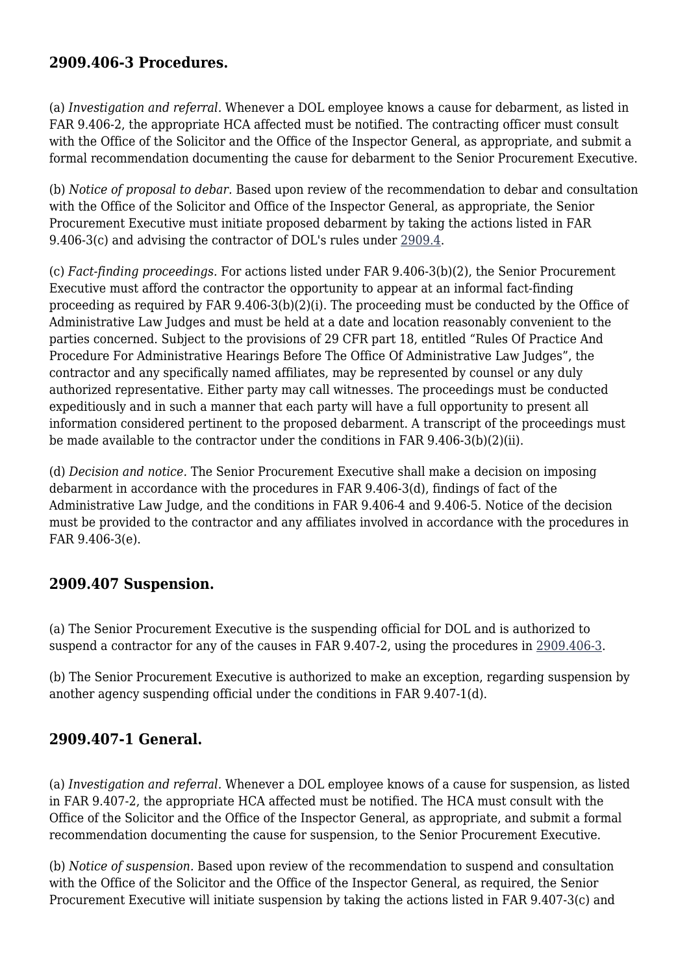#### **2909.406-3 Procedures.**

(a) *Investigation and referral.* Whenever a DOL employee knows a cause for debarment, as listed in FAR 9.406-2, the appropriate HCA affected must be notified. The contracting officer must consult with the Office of the Solicitor and the Office of the Inspector General, as appropriate, and submit a formal recommendation documenting the cause for debarment to the Senior Procurement Executive.

(b) *Notice of proposal to debar.* Based upon review of the recommendation to debar and consultation with the Office of the Solicitor and Office of the Inspector General, as appropriate, the Senior Procurement Executive must initiate proposed debarment by taking the actions listed in FAR 9.406-3(c) and advising the contractor of DOL's rules under [2909.4](https://www.acquisition.gov/%5Brp:link:dolar-part-2909%5D#Subpart_2909_4_T48_7012102).

(c) *Fact-finding proceedings.* For actions listed under FAR 9.406-3(b)(2), the Senior Procurement Executive must afford the contractor the opportunity to appear at an informal fact-finding proceeding as required by FAR 9.406-3(b)(2)(i). The proceeding must be conducted by the Office of Administrative Law Judges and must be held at a date and location reasonably convenient to the parties concerned. Subject to the provisions of 29 CFR part 18, entitled "Rules Of Practice And Procedure For Administrative Hearings Before The Office Of Administrative Law Judges", the contractor and any specifically named affiliates, may be represented by counsel or any duly authorized representative. Either party may call witnesses. The proceedings must be conducted expeditiously and in such a manner that each party will have a full opportunity to present all information considered pertinent to the proposed debarment. A transcript of the proceedings must be made available to the contractor under the conditions in FAR 9.406-3(b)(2)(ii).

(d) *Decision and notice.* The Senior Procurement Executive shall make a decision on imposing debarment in accordance with the procedures in FAR 9.406-3(d), findings of fact of the Administrative Law Judge, and the conditions in FAR 9.406-4 and 9.406-5. Notice of the decision must be provided to the contractor and any affiliates involved in accordance with the procedures in FAR 9.406-3(e).

## **2909.407 Suspension.**

(a) The Senior Procurement Executive is the suspending official for DOL and is authorized to suspend a contractor for any of the causes in FAR 9.407-2, using the procedures in [2909.406-3](https://www.acquisition.gov/%5Brp:link:dolar-part-2909%5D#Section_2909_406_3_T48_701210216).

(b) The Senior Procurement Executive is authorized to make an exception, regarding suspension by another agency suspending official under the conditions in FAR 9.407-1(d).

## **2909.407-1 General.**

(a) *Investigation and referral.* Whenever a DOL employee knows of a cause for suspension, as listed in FAR 9.407-2, the appropriate HCA affected must be notified. The HCA must consult with the Office of the Solicitor and the Office of the Inspector General, as appropriate, and submit a formal recommendation documenting the cause for suspension, to the Senior Procurement Executive.

(b) *Notice of suspension.* Based upon review of the recommendation to suspend and consultation with the Office of the Solicitor and the Office of the Inspector General, as required, the Senior Procurement Executive will initiate suspension by taking the actions listed in FAR 9.407-3(c) and